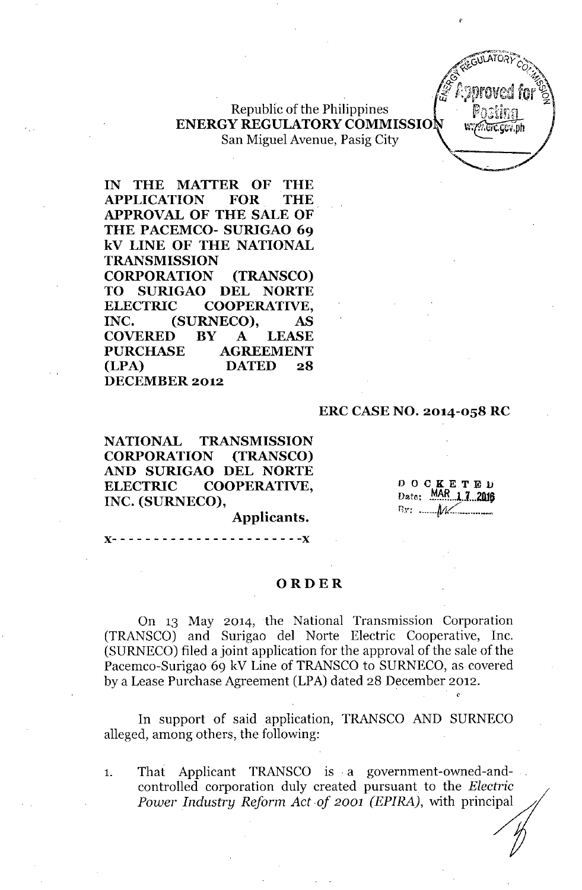

## Republic of the Philippines ENERGY REGULATORYCOMMISSIO San Miguel Avenue, Pasig City

IN THE MATTER OF THE APPLICATION FOR THE APPROVAL OF THE SALE OF THE PACEMCO- SURIGAO 69 kV LINE OF THE NATIONAL TRANSMISSION CORPORATION (TRANSCO) TO SURIGAO DEL NORTE ELECTRIC COOPERATIVE, INC. (SURNECO), AS COVERED BY A LEASE PURCHASE AGREEMENT (LPA) DATED 28 DECEMBER 2012

## ERC CASE NO. 2014-058 RC

NATIONAL TRANSMISSION CORPORATION (TRANSCO) AND SURIGAO DEL NORTE ELECTRIC COOPERATIVE, INC. (SURNECO),

DOCKETEll nate; .~~R...L1. ..2ll1P  $f_{3}$ ":  $\mathcal{M}$ 

Applicants.

}(- - - - - - - - - - - - - - - - - - - - - - -}(

## ORDER

On 13 May 2014, the National Transmission Corporation (TRANSCO) and Surigao del Norte Electric Cooperative, Inc. (SURNECO) filed a joint application for the approval of the sale of the Pacemco-Surigao 69 kV Line of TRANSCO to SURNECO, as covered by a Lease Purchase Agreement (LPA) dated 28 December 2012.

In support of said application, TRANSCO AND SURNECO alleged, among others, the following:

1. That Applicant TRANSCO is. a government-owned-andcontrolled corporation duly created pursuant to the *Electric Power Industry Reform Act of 2001 (EPIRA), with principal*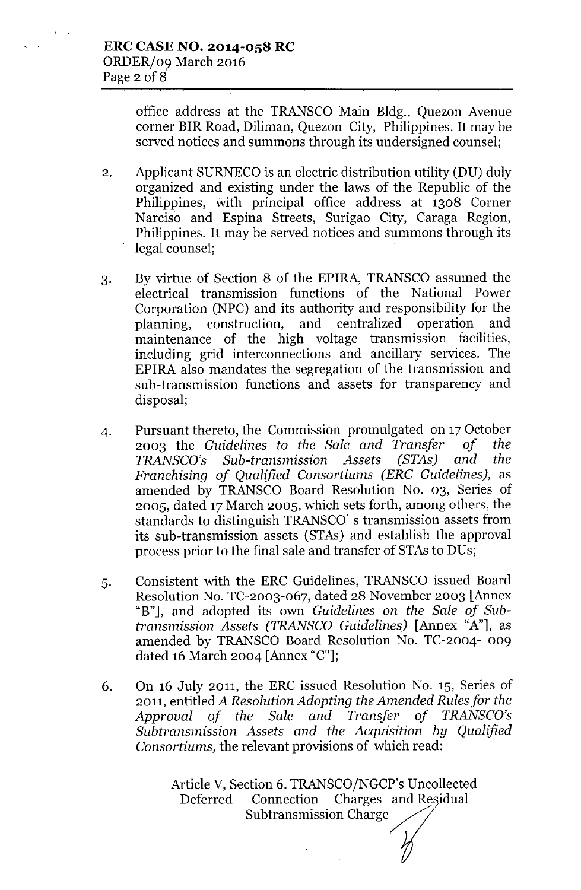office address at the TRANSCO Main Bldg., Quezon Avenue corner BIR Road, Diliman, Quezon City, Philippines. It may be served notices and summons through its undersigned counsel;

- 2. Applicant SURNECO is an electric distribution utility (DU) duly organized and existing under the laws of the Republic of the Philippines, With principal office address at 1308 Corner Narciso and Espina Streets, Surigao City, Caraga Region, Philippines. It may be served notices and summons through its legal counsel;
- 3. By virtue of Section 8 of the EPlRA, TRANSCO assumed the electrical transmission functions of the National Power Corporation (NPC) and its authority and responsibility for the planning, construction, and centralized operation and maintenance of the high voltage transmission facilities, including grid interconnections and ancillary services. The EPlRA also mandates the segregation of the transmission and sub-transmission functions and assets for transparency and disposal;
- 4. Pursuant thereto, the Commission promulgated on 17October 2003 the *Guidelines to the Sale and Transfer of the TRANSCO's Sub-transmission Assets (STAs) and the Franchising of Qualified Consortiums (ERC Guidelines),* as amended by TRANSCO Board Resolution No. 03, Series of 2005, dated 17March 2005, which sets forth, among others, the standards to distinguish TRANSCO' s transmission assets from its sub-transmission assets (STAs) and establish the approval process prior to the final sale and transfer of STAs to DUs;
- 5. Consistent with the ERC Guidelines, TRANSCO issued Board Resolution No. TC-2003-067, dated 28 November 2003 [Annex "B"], and adopted its own *Guidelines* on *the Sale of Subtransmission Assets (TRANSCO Guidelines)* [Annex "A"], as amended by TRANSCO Board Resolution No. TC-2004- oog dated 16 March 2004 [Annex "C"];
- 6. On 16 July 2011, the ERC issued Resolution No. 15, Series of 2011, entitled *A Resolution Adopting the Amended Rules for the Approval of the Sale and Transfer of TRANSCO's Subtransmission Assets and the Acquisition by Qualified Consortiums,* the relevant provisions of which read:

Article V, Section 6. TRANSCO/NGCP's Uncollected Deferred Connection Charges and Residual Subtransmission Charge ~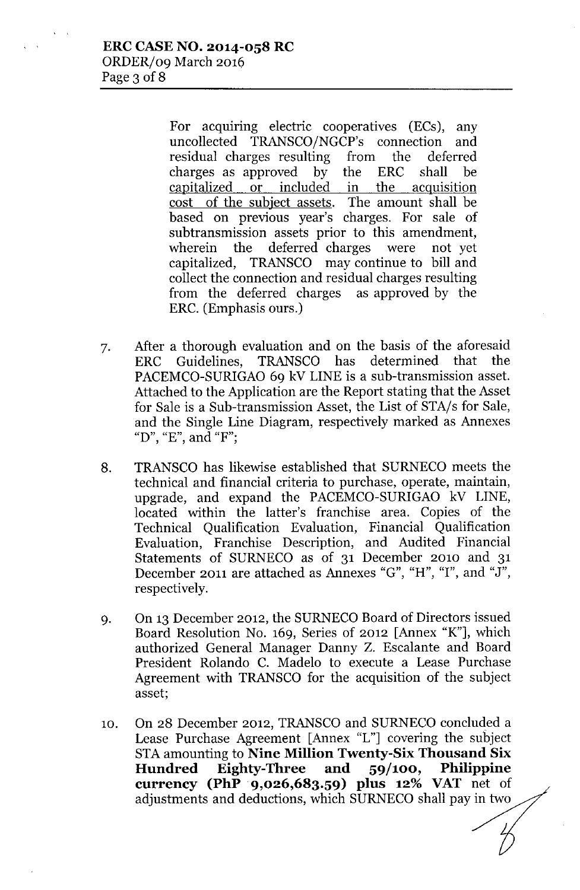For acquiring electric cooperatives (ECs), any uncollected TRANSCO/NGCP's connection and residual charges resulting from the deferred charges as approved by the ERC shall be capitalized or included in the acquisition cost of the subject assets. The amount shall be based on previous year's charges. For sale of subtransmission assets prior to this amendment, wherein the deferred charges were not yet capitalized, TRANSCO may continue to bill and collect the connection and residual charges resulting from the deferred charges as approved by the ERC. (Emphasis ours.)

- 7. After a thorough evaluation and on the basis of the aforesaid ERC Guidelines, TRANSCO has determined that the PACEMCO-SURIGAO 69 kV LINE is a sub-transmission asset. Attached to the Application are the Report stating that the Asset for Sale is a Sub-transmission Asset, the List of STA/s for Sale, and the Single Line Diagram, respectively marked as Annexes "D", "E", and "F":
- 8. TRANSCO has likewise established that SURNECO meets the technical and financial criteria to purchase, operate, maintain, upgrade, and expand the PACEMCO-SURIGAO kV LINE, located within the latter's franchise area. Copies of the Technical Qualification Evaluation, Financial Qualification Evaluation, Franchise Description, and Audited Financial Statements of SURNECO as of 31 December 2010 and 31 December 2011 are attached as Annexes "G", "H", "I", and "J", respectively.
- 9. On 13 December 2012, the SURNECO Board of Directors issued Board Resolution No. 169, Series of 2012 [Annex "K"], which authorized General Manager Danny Z. Escalante and Board President Rolando C. Madelo to execute a Lease Purchase Agreement with TRANSCO for the acquisition of the subject asset;
- 10. On 28 December 2012, TRANSCO and SURNECO concluded a Lease Purchase Agreement [Annex "L"] covering the subject STA amounting to Nine Million Twenty-Six Thousand Six Hundred Eighty-Three and 59/100, Philippine currency (PhP 9,026,683.59) plus 12% VAT net of adjustments and deductions, which SURNECO shall pay in two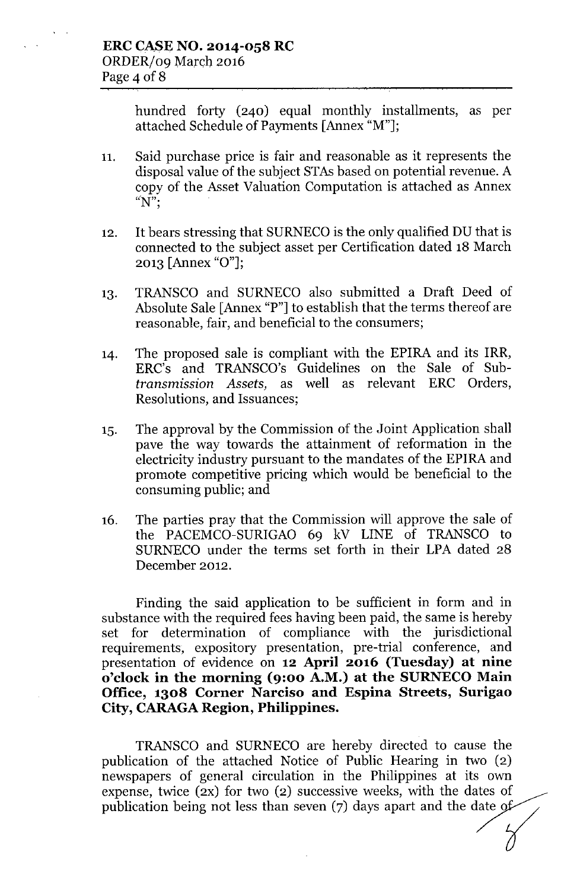hundred forty (240) equal monthly installments, as per attached Schedule of Payments [Annex "M"];

- 11. Said purchase price is fair and reasonable as it represents the disposal value of the subject STAs based on potential revenue. A copy of the Asset Valuation Computation is attached as Annex  $\sqrt{\ }N^{\prime \prime }$ ;
- 12. It bears stressing that SURNECO is the only qualified DU that is connected to the subject asset per Certification dated 18 March 2013 [Annex "0"];
- 13. TRANSCO and SURNECO also submitted a Draft Deed of Absolute Sale [Annex "P"] to establish that the terms thereof are reasonable, fair, and beneficial to the consumers;
- 14. The proposed sale is compliant with the EPIRA and its IRR, ERC's and TRANSCO's Guidelines on the Sale of Sub*transmission Assets,* as well as relevant ERC Orders, Resolutions, and Issuances;
- 15. The approval by the Commission of the Joint Application shall pave the way towards the attainment of reformation in the electricity industry pursuant to the mandates of the EPIRA and promote competitive pricing which would be beneficial to the consuming public; and
- 16. The parties pray that the Commission will approve the sale of the PACEMCO-SURIGAO 69 kV LINE of TRANSCO to SURNECO under the terms set forth in their LPA dated 28 December 2012.

Finding the said application to be sufficient in form and in substance with the required fees having been paid, the same is hereby set for determination of compliance with the jurisdictional requirements, expository presentation, pre-trial conference, and presentation of evidence on 12 April 2016 (Tuesday) at nine o'clock in the morning (9:00 A.M.) at the SURNECO Main Office, 1308 Corner Narciso and Espina Streets, Surigao City, CARAGA Region, Philippines.

TRANSCO and SURNECO are hereby directed to cause the publication of the attached Notice of Public Hearing in two (2) newspapers of general circulation in the Philippines at its own expense, twice (2X) for two (2) successive weeks, with the dates of publication being not less than seven (7) days apart and the date of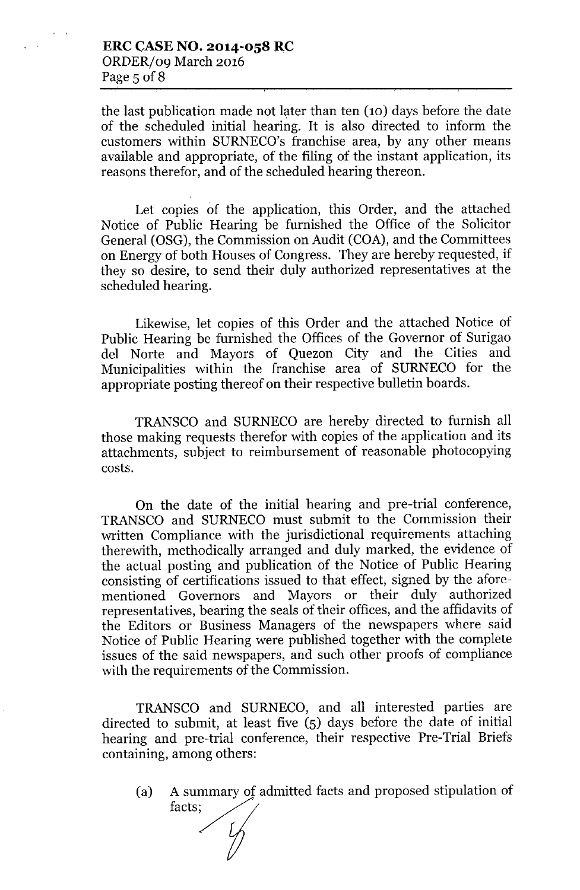the last publication made not later than ten (10) days before the date of the scheduled initial hearing. It is also directed to inform the customers within SURNECO's franchise area, by any other means available and appropriate, of the filing of the instant application, its reasons therefor, and of the scheduled hearing thereon.

Let copies of the application, this Order, and the attached Notice of Public Hearing be furnished the Office of the Solicitor General (OSG), the Commission on Audit (COA), and the Committees on Energy of both Houses of Congress. They are hereby requested, if they so desire, to send their duly authorized representatives at the scheduled hearing.

Likewise, let copies of this Order and the attached Notice of Public Hearing be furnished the Offices of the Governor of Surigao del Norte and Mayors of Quezon City and the Cities and Municipalities within the franchise area of SURNECO for the appropriate posting thereof on their respective bulletin boards.

TRANSCO and SURNECO are hereby directed to furnish all those making requests therefor with copies of the application and its attachments, subject to reimbursement of reasonable photocopying costs.

On the date of the initial hearing and pre-trial conference, TRANSCO and SURNECO must submit to the Commission their written Compliance with the jurisdictional requirements attaching therewith, methodically arranged and duly marked, the evidence of the actual posting and publication of the Notice of Public Hearing consisting of certifications issued to that effect, signed by the aforementioned Governors and Mayors or their duly authorized representatives, bearing the seals of their offices, and the affidavits of the Editors or Business Managers of the newspapers where said Notice of Public Hearing were published together with the complete issues of the said newspapers, and such other proofs of compliance with the requirements of the Commission.

TRANSCO and SURNECO, and all interested parties are directed to submit, at least five (5) days before the date of initial hearing and pre-trial conference, their respective Pre-Trial Briefs containing, among others:

A summary of admitted facts and proposed stipulation of (a)facts;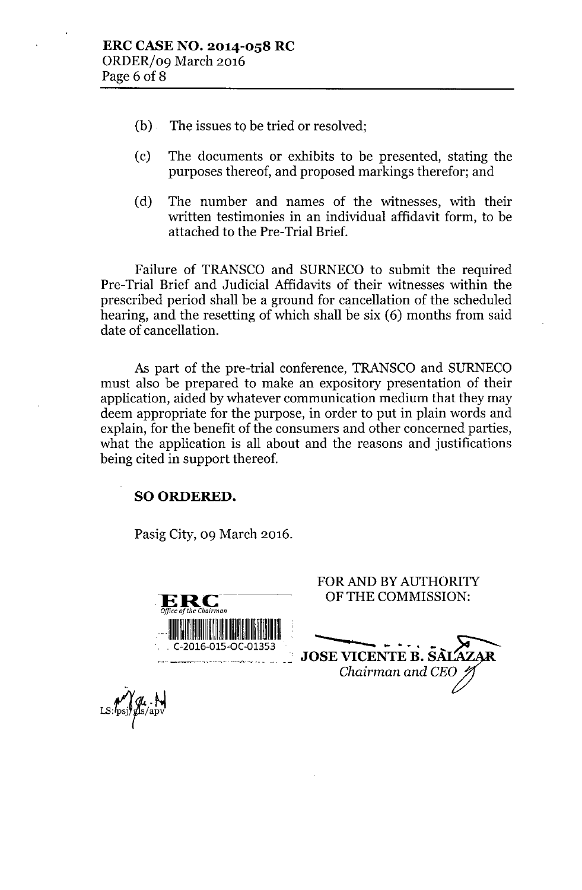- (b) The issues to be tried or resolved;
- (c) The documents or exhibits to be presented, stating the purposes thereof, and proposed markings therefor; and
- (d) The number and names of the witnesses, with their written testimonies in an individual affidavit form, to be attached to the Pre-Trial Brief.

Failure of TRANSCO and SURNECO to submit the required Pre-Trial Brief and Judicial Affidavits of their witnesses within the prescribed period shall be a ground for cancellation of the scheduled hearing, and the resetting of which shall be six (6) months from said date of cancellation.

As part of the pre-trial conference, TRANSCO and SURNECO must also be prepared to make an expository presentation of their application, aided by whatever communication medium that they may deem appropriate for the purpose, in order to put in plain words and explain, for the benefit of the consumers and other concerned parties, what the application is all about and the reasons and justifications being cited in support thereof.

## SO ORDERED.

Pasig City, 09 March 2016.

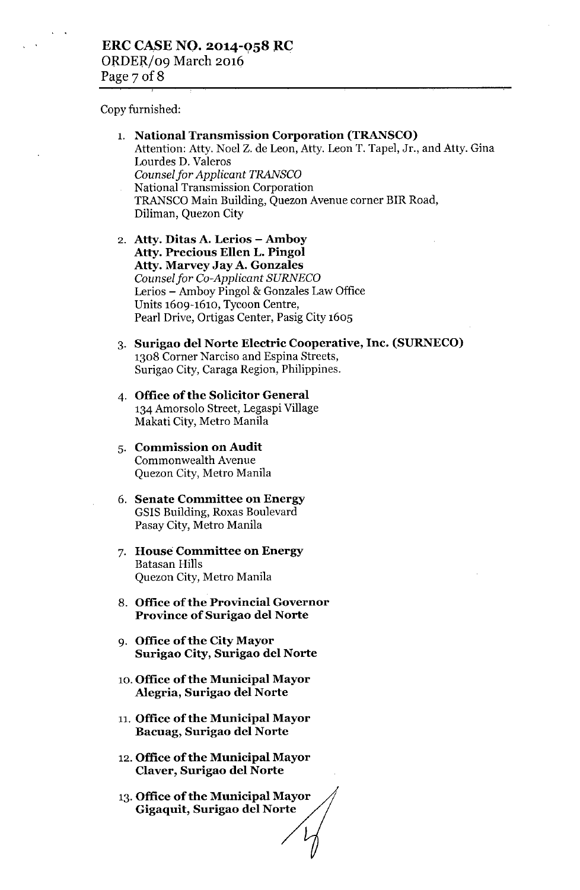Copy furnished:

- 1. National Transmission Corporation (TRANSCO) Attention: Atty. Noel Z. de Leon, Atty. Leon T. Tapel, Jr., and Atty. Gina Lourdes D. Valeros *Counselfor Applicant TRANSCO* National Transmission Corporation TRANSCO Main Building, Quezon Avenue corner BIR Road, Diliman, Quezon City
- 2. Atty. Ditas A. Lerios Amboy Atty. Precious Ellen L. Pingol Atty. Marvey Jay A. Gonzales *Counselfor Co-Applicant SURNECO* Lerios - Amboy Pingol & Gonzales Law Office Units 1609-1610, Tycoon Centre, Pearl Drive, Ortigas Center, Pasig City 1605
- 3. Surigao del Norte Electric Cooperative, Inc. (SURNECO) 1308 Corner Narciso and Espina Streets, Surigao City, Caraga Region, Philippines.
- 4. Office of the Solicitor General 134 Amorsolo Street, Legaspi Village Makati City, Metro Manila
- 5. Commission on Audit Commonwealth Avenue Quezon City, Metro Manila
- 6. Senate Committee on Energy GSlS Building, Roxas Boulevard Pasay City, Metro Manila
- 7. House Committee on Energy Batasan Hills Quezon City, Metro Manila
- 8. Office of the Provincial Governor Province of Surigao del Norte
- 9. Office of the City Mayor Surigao City, Surigao del Norte
- 10. Office of the Municipal Mayor Alegria, Surigao del Norte
- 11. Office of the Municipal Mayor Bacuag, Surigao del Norte
- 12. Office of the Municipal Mayor Claver, Surigao del Norte
- 13.Office of the Municipal Mayor Gigaquit, Surigao del Norte